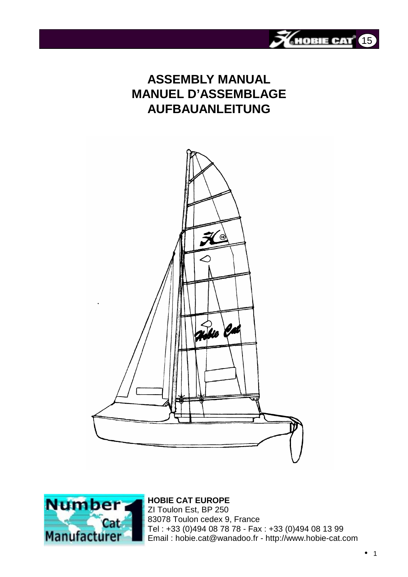

# **ASSEMBLY MANUAL MANUEL D'ASSEMBLAGE AUFBAUANLEITUNG**





## **HOBIE CAT EUROPE** ZI Toulon Est, BP 250 83078 Toulon cedex 9, France Tel : +33 (0)494 08 78 78 - Fax : +33 (0)494 08 13 99 Email : hobie.cat@wanadoo.fr - http://www.hobie-cat.com

• 1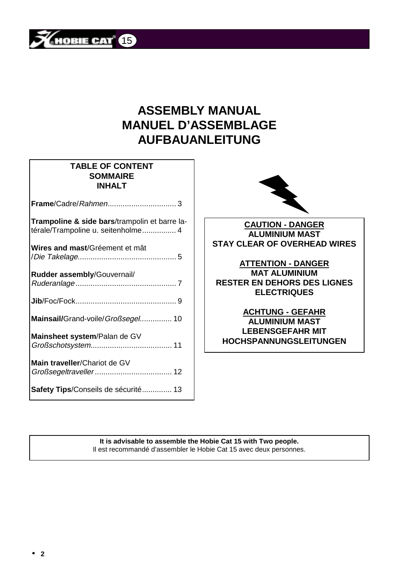

# **ASSEMBLY MANUAL MANUEL D'ASSEMBLAGE AUFBAUANLEITUNG**

## **TABLE OF CONTENT SOMMAIRE INHALT**

| Trampoline & side bars/trampolin et barre la- |  |
|-----------------------------------------------|--|
| térale/Trampoline u. seitenholme 4            |  |
| Wires and mast/Gréement et mât                |  |
| Rudder assembly/Gouvernail/                   |  |
|                                               |  |
| Mainsail/Grand-voile/ <i>Großsegel</i> 10     |  |
| Mainsheet system/Palan de GV                  |  |
| Main traveller/Chariot de GV                  |  |
| Safety Tips/Conseils de sécurité 13           |  |



**CAUTION - DANGER ALUMINIUM MAST STAY CLEAR OF OVERHEAD WIRES**

**ATTENTION - DANGER MAT ALUMINIUM RESTER EN DEHORS DES LIGNES ELECTRIQUES**

## **ACHTUNG - GEFAHR ALUMINIUM MAST LEBENSGEFAHR MIT HOCHSPANNUNGSLEITUNGEN**

**It is advisable to assemble the Hobie Cat 15 with Two people.** Il est recommandé d'assembler le Hobie Cat 15 avec deux personnes.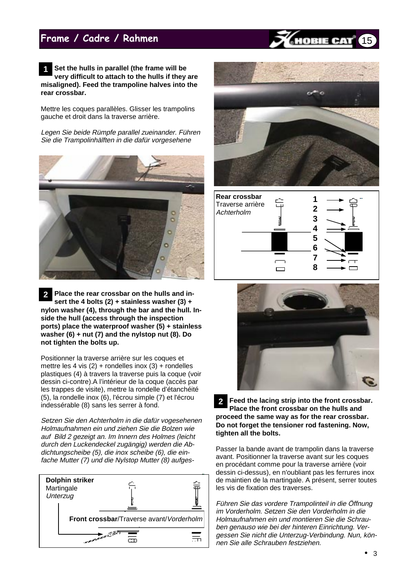## Frame / Cadre / Rahmen

**Set the hulls in parallel (the frame will be very difficult to attach to the hulls if they are misaligned). Feed the trampoline halves into the rear crossbar. 1**

Mettre les coques parallèles. Glisser les trampolins gauche et droit dans la traverse arrière.

Legen Sie beide Rümpfe parallel zueinander. Führen Sie die Trampolinhälften in die dafür vorgesehene



**Place the rear crossbar on the hulls and insert the 4 bolts (2) + stainless washer (3) + nylon washer (4), through the bar and the hull. Inside the hull (access through the inspection ports) place the waterproof washer (5) + stainless washer (6) + nut (7) and the nylstop nut (8). Do not tighten the bolts up. 2**

Positionner la traverse arrière sur les coques et mettre les 4 vis  $(2)$  + rondelles inox  $(3)$  + rondelles plastiques (4) à travers la traverse puis la coque (voir dessin ci-contre).A l'intérieur de la coque (accès par les trappes de visite), mettre la rondelle d'étanchéité (5), la rondelle inox (6), l'écrou simple (7) et l'écrou indessérable (8) sans les serrer à fond.

Setzen Sie den Achterholm in die dafür vogesehenen Holmaufnahmen ein und ziehen Sie die Bolzen wie auf Bild 2 gezeigt an. Im Innern des Holmes (leicht durch den Luckendeckel zugängig) werden die Abdichtungscheibe (5), die inox scheibe (6), die einfache Mutter (7) und die Nylstop Mutter (8) aufges-





OBIE CA

15





**Feed the lacing strip into the front crossbar. Place the front crossbar on the hulls and proceed the same way as for the rear crossbar. Do not forget the tensioner rod fastening. Now, tighten all the bolts. 2**

Passer la bande avant de trampolin dans la traverse avant. Positionner la traverse avant sur les coques en procédant comme pour la traverse arrière (voir dessin ci-dessus), en n'oubliant pas les ferrures inox de maintien de la martingale. A présent, serrer toutes les vis de fixation des traverses.

Führen Sie das vordere Trampolinteil in die Öffnung im Vorderholm. Setzen Sie den Vorderholm in die Holmaufnahmen ein und montieren Sie die Schrauben genauso wie bei der hinteren Einrichtung. Vergessen Sie nicht die Unterzug-Verbindung. Nun, können Sie alle Schrauben festziehen.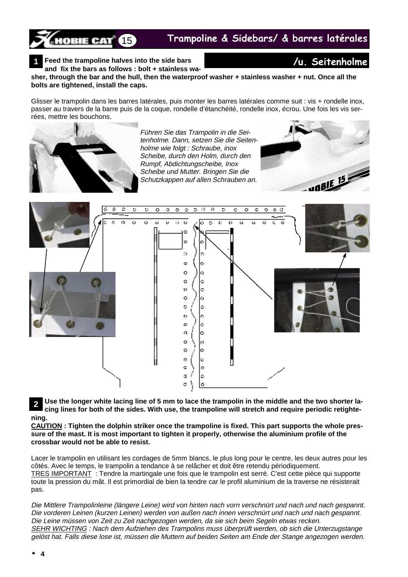Trampoline & Sidebars/ & barres latérales

**Feed the trampoline halves into the side bars 1** X**u** Seitenholme

**10BIE CAT<sup>®</sup>** 15

**and fix the bars as follows : bolt + stainless washer, through the bar and the hull, then the waterproof washer + stainless washer + nut. Once all the bolts are tightened, install the caps.**

Glisser le trampolin dans les barres latérales, puis monter les barres latérales comme suit : vis + rondelle inox, passer au travers de la barre puis de la coque, rondelle d'étanchéité, rondelle inox, écrou. Une fois les vis serrées, mettre les bouchons.



Führen Sie das Trampolin in die Seitenholme. Dann, setzen Sie die Seitenholme wie folgt : Schraube, inox Scheibe, durch den Holm, durch den Rumpf, Abdichtungscheibe, Inox Scheibe und Mutter. Bringen Sie die Schutzkappen auf allen Schrauben an.





**Use the longer white lacing line of 5 mm to lace the trampolin in the middle and the two shorter lacing lines for both of the sides. With use, the trampoline will stretch and require periodic retightening. 2**

**CAUTION : Tighten the dolphin striker once the trampoline is fixed. This part supports the whole pressure of the mast. It is most important to tighten it properly, otherwise the aluminium profile of the crossbar would not be able to resist.**

Lacer le trampolin en utilisant les cordages de 5mm blancs, le plus long pour le centre, les deux autres pour les côtés. Avec le temps, le trampolin a tendance à se relâcher et doit être retendu périodiquement. TRES IMPORTANT : Tendre la martingale une fois que le trampolin est serré. C'est cette pièce qui supporte toute la pression du mât. Il est primordial de bien la tendre car le profil aluminium de la traverse ne résisterait pas.

Die Mittlere Trampolinleine (längere Leine) wird von hinten nach vorn verschnürt und nach und nach gespannt. Die vorderen Leinen (kurzen Leinen) werden von außen nach innen verschnürt und nach und nach gespannt. Die Leine müssen von Zeit zu Zeit nachgezogen werden, da sie sich beim Segeln etwas recken. SEHR WICHTING : Nach dem Aufziehen des Trampolins muss überprüft werden, ob sich die Unterzugstange gelöst hat. Falls diese lose ist, müssen die Muttern auf beiden Seiten am Ende der Stange angezogen werden.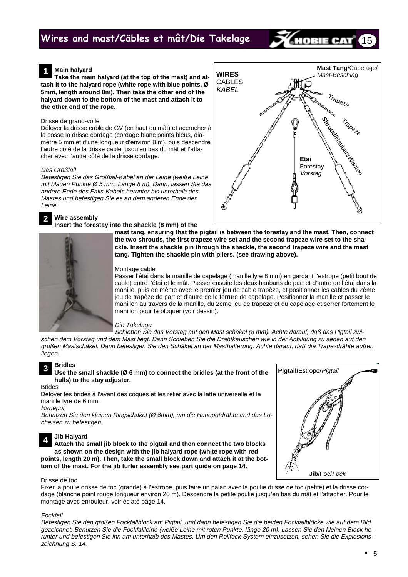## Wires and mast/Cäbles et mât/Die Takelage

## **Main halyard**

**Take the main halyard (at the top of the mast) and attach it to the halyard rope (white rope with blue points, Ø 5mm, length around 8m). Then take the other end of the halyard down to the bottom of the mast and attach it to the other end of the rope.**

### Drisse de grand-voile

Délover la drisse cable de GV (en haut du mât) et accrocher à la cosse la drisse cordage (cordage blanc points bleus, diamètre 5 mm et d'une longueur d'environ 8 m), puis descendre l'autre côté de la drisse cable jusqu'en bas du mât et l'attacher avec l'autre côté de la drisse cordage.

### Das Großfall

Befestigen Sie das Großfall-Kabel an der Leine (weiße Leine mit blauen Punkte Ø 5 mm, Länge 8 m). Dann, lassen Sie das andere Ende des Falls-Kabels herunter bis unterhalb des Mastes und befestigen Sie es an dem anderen Ende der Leine.

#### **Wire assembly 2**

**Insert the forestay into the shackle (8 mm) of the**



### Montage cable

Passer l'étai dans la manille de capelage (manille lyre 8 mm) en gardant l'estrope (petit bout de cable) entre l'étai et le mât. Passer ensuite les deux haubans de part et d'autre de l'étai dans la manille, puis de même avec le premier jeu de cable trapèze, et positionner les cables du 2ème jeu de trapèze de part et d'autre de la ferrure de capelage. Positionner la manille et passer le manillon au travers de la manille, du 2ème jeu de trapèze et du capelage et serrer fortement le manillon pour le bloquer (voir dessin).

### Die Takelage

Schieben Sie das Vorstag auf den Mast schäkel (8 mm). Achte darauf, daß das Pigtail zwischen dem Vorstag und dem Mast liegt. Dann Schieben Sie die Drahtkauschen wie in der Abbildung zu sehen auf den großen Mastschäkel. Dann befestigen Sie den Schäkel an der Masthalterung. Achte darauf, daß die Trapezdrähte außen liegen.

#### **Bridles 3**

### **Use the small shackle (Ø 6 mm) to connect the bridles (at the front of the hulls) to the stay adjuster.**

Brides

Délover les brides à l'avant des coques et les relier avec la latte universelle et la manille lyre de 6 mm.

## **Hanepot**

Benutzen Sie den kleinen Ringschäkel (Ø 6mm), um die Hanepotdrähte and das Locheisen zu befestigen.

## **Jib Halyard**

**Attach the small jib block to the pigtail and then connect the two blocks as shown on the design with the jib halyard rope (white rope with red points, length 20 m). Then, take the small block down and attach it at the bottom of the mast. For the jib furler assembly see part guide on page 14. 4**

## Drisse de foc

Fixer la poulie drisse de foc (grande) à l'estrope, puis faire un palan avec la poulie drisse de foc (petite) et la drisse cordage (blanche point rouge longueur environ 20 m). Descendre la petite poulie jusqu'en bas du mât et l'attacher. Pour le montage avec enrouleur, voir éclaté page 14.

### Fockfall

Befestigen Sie den großen Fockfallblock am Pigtail, und dann befestigen Sie die beiden Fockfallblöcke wie auf dem Bild gezeichnet. Benutzen Sie die Fockfallleine (weiße Leine mit roten Punkte, länge 20 m). Lassen Sie den kleinen Block herunter und befestigen Sie ihn am unterhalb des Mastes. Um den Rollfock-System einzusetzen, sehen Sie die Explosionszeichnung S. 14.



15

IOBIE CAT

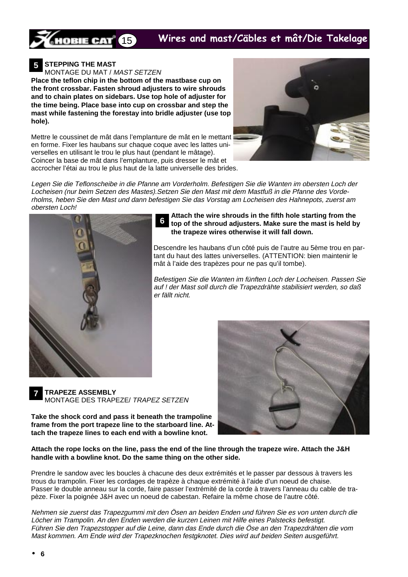## Wires and mast/Cäbles et mât/Die Takelage



**STEPPING THE MAST 5**

MONTAGE DU MAT / MAST SETZEN

**Place the teflon chip in the bottom of the mastbase cup on the front crossbar. Fasten shroud adjusters to wire shrouds and to chain plates on sidebars. Use top hole of adjuster for the time being. Place base into cup on crossbar and step the mast while fastening the forestay into bridle adjuster (use top hole).**

Mettre le coussinet de mât dans l'emplanture de mât en le mettant en forme. Fixer les haubans sur chaque coque avec les lattes universelles en utilisant le trou le plus haut (pendant le mâtage). Coincer la base de mât dans l'emplanture, puis dresser le mât et accrocher l'étai au trou le plus haut de la latte universelle des brides.



Legen Sie die Teflonscheibe in die Pfanne am Vorderholm. Befestigen Sie die Wanten im obersten Loch der Locheisen (nur beim Setzen des Mastes).Setzen Sie den Mast mit dem Mastfuß in die Pfanne des Vorderholms, heben Sie den Mast und dann befestigen Sie das Vorstag am Locheisen des Hahnepots, zuerst am obersten Loch!

**6**



**Attach the wire shrouds in the fifth hole starting from the top of the shroud adjusters. Make sure the mast is held by the trapeze wires otherwise it will fall down.**

Descendre les haubans d'un côté puis de l'autre au 5ème trou en partant du haut des lattes universelles. (ATTENTION: bien maintenir le mât à l'aide des trapèzes pour ne pas qu'il tombe).

Befestigen Sie die Wanten im fünften Loch der Locheisen. Passen Sie auf ! der Mast soll durch die Trapezdrähte stabilisiert werden, so daß er fällt nicht.

**TRAPEZE ASSEMBLY** MONTAGE DES TRAPEZE/ TRAPEZ SETZEN

**Take the shock cord and pass it beneath the trampoline frame from the port trapeze line to the starboard line. Attach the trapeze lines to each end with a bowline knot.**



**Attach the rope locks on the line, pass the end of the line through the trapeze wire. Attach the J&H handle with a bowline knot. Do the same thing on the other side.**

Prendre le sandow avec les boucles à chacune des deux extrémités et le passer par dessous à travers les trous du trampolin. Fixer les cordages de trapèze à chaque extrémité à l'aide d'un noeud de chaise. Passer le double anneau sur la corde, faire passer l'extrémité de la corde à travers l'anneau du cable de trapèze. Fixer la poignée J&H avec un noeud de cabestan. Refaire la même chose de l'autre côté.

Nehmen sie zuerst das Trapezgummi mit den Ösen an beiden Enden und führen Sie es von unten durch die Löcher im Trampolin. An den Enden werden die kurzen Leinen mit Hilfe eines Palstecks befestigt. Führen Sie den Trapezstopper auf die Leine, dann das Ende durch die Öse an den Trapezdrähten die vom Mast kommen. Am Ende wird der Trapezknochen festgknotet. Dies wird auf beiden Seiten ausgeführt.

**7**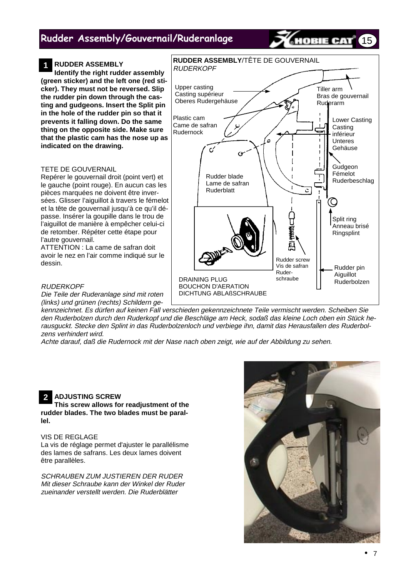## Rudder Assembly/Gouvernail/Ruderanlage

#### **RUDDER ASSEMBLY 1**

**Identify the right rudder assembly (green sticker) and the left one (red sticker). They must not be reversed. Slip the rudder pin down through the casting and gudgeons. Insert the Split pin in the hole of the rudder pin so that it prevents it falling down. Do the same thing on the opposite side. Make sure that the plastic cam has the nose up as indicated on the drawing.**

## TETE DE GOUVERNAIL

Repérer le gouvernail droit (point vert) et le gauche (point rouge). En aucun cas les pièces marquées ne doivent être inversées. Glisser l'aiguillot à travers le fémelot et la tête de gouvernail jusqu'à ce qu'il dépasse. Insérer la goupille dans le trou de l'aiguillot de manière à empêcher celui-ci de retomber. Répéter cette étape pour l'autre gouvernail.

ATTENTION : La came de safran doit avoir le nez en l'air comme indiqué sur le dessin.

**RUDERKOPF** 

Die Teile der Ruderanlage sind mit roten (links) und grünen (rechts) Schildern ge-

kennzeichnet. Es dürfen auf keinen Fall verschieden gekennzeichnete Teile vermischt werden. Scheiben Sie den Ruderbolzen durch den Ruderkopf und die Beschläge am Heck, sodaß das kleine Loch oben ein Stück herausguckt. Stecke den Splint in das Ruderbolzenloch und verbiege ihn, damit das Herausfallen des Ruderbolzens verhindert wird.

Achte darauf, daß die Rudernock mit der Nase nach oben zeigt, wie auf der Abbildung zu sehen.

#### **ADJUSTING SCREW 2**

**This screw allows for readjustment of the rudder blades. The two blades must be parallel.**

## VIS DE REGLAGE

La vis de réglage permet d'ajuster le parallélisme des lames de safrans. Les deux lames doivent être parallèles.

SCHRAUBEN ZUM JUSTIEREN DER RUDER Mit dieser Schraube kann der Winkel der Ruder zueinander verstellt werden. Die Ruderblätter





15

IOBIE CAT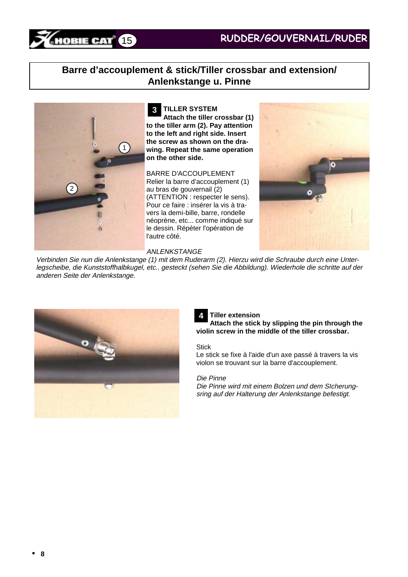## **Barre d'accouplement & stick/Tiller crossbar and extension/ Anlenkstange u. Pinne**



**TILLER SYSTEM Attach the tiller crossbar (1) to the tiller arm (2). Pay attention to the left and right side. Insert the screw as shown on the drawing. Repeat the same operation on the other side. 3**

BARRE D'ACCOUPLEMENT Relier la barre d'accouplement (1) au bras de gouvernail (2) (ATTENTION : respecter le sens). Pour ce faire : insérer la vis à travers la demi-bille, barre, rondelle néoprène, etc... comme indiqué sur le dessin. Répéter l'opération de l'autre côté.



## ANLENKSTANGE

Verbinden Sie nun die Anlenkstange (1) mit dem Ruderarm (2). Hierzu wird die Schraube durch eine Unterlegscheibe, die Kunststoffhalbkugel, etc.. gesteckt (sehen Sie die Abbildung). Wiederhole die schritte auf der anderen Seite der Anlenkstange.



## **Tiller extension**

**Attach the stick by slipping the pin through the violin screw in the middle of the tiller crossbar. 4**

## **Stick**

Le stick se fixe à l'aide d'un axe passé à travers la vis violon se trouvant sur la barre d'accouplement.

## Die Pinne

Die Pinne wird mit einem Bolzen und dem SIcherungsring auf der Halterung der Anlenkstange befestigt.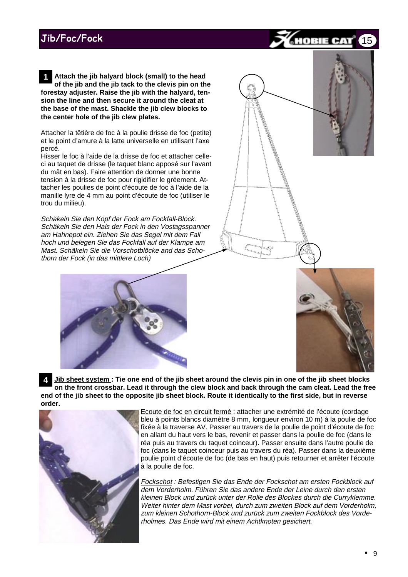**Attach the jib halyard block (small) to the head of the jib and the jib tack to the clevis pin on the forestay adjuster. Raise the jib with the halyard, tension the line and then secure it around the cleat at the base of the mast. Shackle the jib clew blocks to the center hole of the jib clew plates. 1**

Attacher la têtière de foc à la poulie drisse de foc (petite) et le point d'amure à la latte universelle en utilisant l'axe percé.

Hisser le foc à l'aide de la drisse de foc et attacher celleci au taquet de drisse (le taquet blanc apposé sur l'avant du mât en bas). Faire attention de donner une bonne tension à la drisse de foc pour rigidifier le gréement. Attacher les poulies de point d'écoute de foc à l'aide de la manille lyre de 4 mm au point d'écoute de foc (utiliser le trou du milieu).

Schäkeln Sie den Kopf der Fock am Fockfall-Block. Schäkeln Sie den Hals der Fock in den Vostagsspanner am Hahnepot ein. Ziehen Sie das Segel mit dem Fall hoch und belegen Sie das Fockfall auf der Klampe am Mast. Schäkeln Sie die Vorschotblöcke and das Schothorn der Fock (in das mittlere Loch)





**Jib sheet system : Tie one end of the jib sheet around the clevis pin in one of the jib sheet blocks on the front crossbar. Lead it through the clew block and back through the cam cleat. Lead the free end of the jib sheet to the opposite jib sheet block. Route it identically to the first side, but in reverse order. 4**



Ecoute de foc en circuit fermé : attacher une extrémité de l'écoute (cordage bleu à points blancs diamètre 8 mm, longueur environ 10 m) à la poulie de foc fixée à la traverse AV. Passer au travers de la poulie de point d'écoute de foc en allant du haut vers le bas, revenir et passer dans la poulie de foc (dans le réa puis au travers du taquet coinceur). Passer ensuite dans l'autre poulie de foc (dans le taquet coinceur puis au travers du réa). Passer dans la deuxième poulie point d'écoute de foc (de bas en haut) puis retourner et arrêter l'écoute à la poulie de foc.

Fockschot : Befestigen Sie das Ende der Fockschot am ersten Fockblock auf dem Vorderholm. Führen Sie das andere Ende der Leine durch den ersten kleinen Block und zurück unter der Rolle des Blockes durch die Curryklemme. Weiter hinter dem Mast vorbei, durch zum zweiten Block auf dem Vorderholm, zum kleinen Schothorn-Block und zurück zum zweiten Fockblock des Vorderholmes. Das Ende wird mit einem Achtknoten gesichert.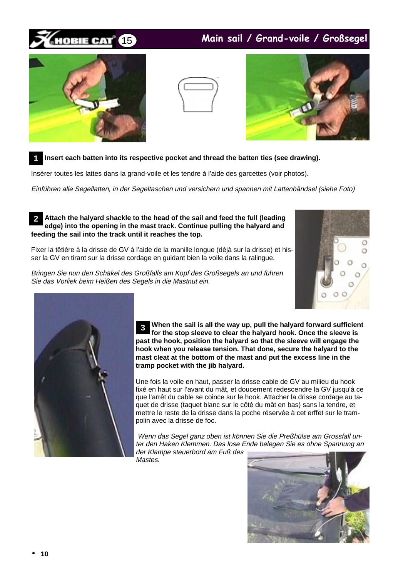## 15 IOBIE CAT

## Main sail / Grand-voile / Großsegel







#### **Insert each batten into its respective pocket and thread the batten ties (see drawing). 1**

Insérer toutes les lattes dans la grand-voile et les tendre à l'aide des garcettes (voir photos).

Einführen alle Segellatten, in der Segeltaschen und versichern und spannen mit Lattenbändsel (siehe Foto)

### **Attach the halyard shackle to the head of the sail and feed the full (leading edge) into the opening in the mast track. Continue pulling the halyard and feeding the sail into the track until it reaches the top. 2**

Fixer la têtière à la drisse de GV à l'aide de la manille longue (déjà sur la drisse) et hisser la GV en tirant sur la drisse cordage en guidant bien la voile dans la ralingue.

Bringen Sie nun den Schäkel des Großfalls am Kopf des Großsegels an und führen Sie das Vorliek beim Heißen des Segels in die Mastnut ein.





**When the sail is all the way up, pull the halyard forward sufficient for the stop sleeve to clear the halyard hook. Once the sleeve is past the hook, position the halyard so that the sleeve will engage the hook when you release tension. That done, secure the halyard to the mast cleat at the bottom of the mast and put the excess line in the tramp pocket with the jib halyard. 3**

Une fois la voile en haut, passer la drisse cable de GV au milieu du hook fixé en haut sur l'avant du mât, et doucement redescendre la GV jusqu'à ce que l'arrêt du cable se coince sur le hook. Attacher la drisse cordage au taquet de drisse (taquet blanc sur le côté du mât en bas) sans la tendre, et mettre le reste de la drisse dans la poche réservée à cet erffet sur le trampolin avec la drisse de foc.

 Wenn das Segel ganz oben ist können Sie die Preßhülse am Grossfall unter den Haken Klemmen. Das lose Ende belegen Sie es ohne Spannung an der Klampe steuerbord am Fuß des

Mastes.

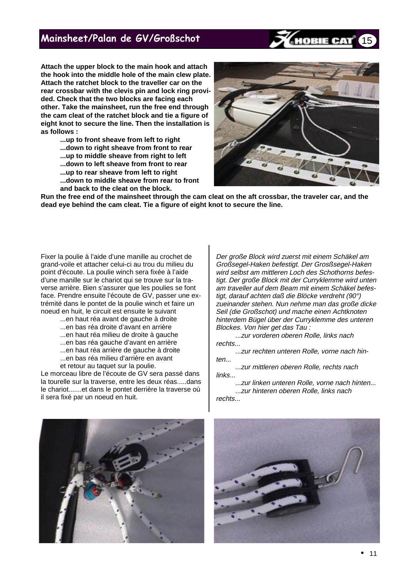## Mainsheet/Palan de GV/Großschot

**Attach the upper block to the main hook and attach the hook into the middle hole of the main clew plate. Attach the ratchet block to the traveller car on the rear crossbar with the clevis pin and lock ring provided. Check that the two blocks are facing each other. Take the mainsheet, run the free end through the cam cleat of the ratchet block and tie a figure of eight knot to secure the line. Then the installation is as follows :**

> **...up to front sheave from left to right ...down to right sheave from front to rear ...up to middle sheave from right to left ...down to left sheave from front to rear ...up to rear sheave from left to right ...down to middle sheave from rear to front and back to the cleat on the block.**



15

**Run the free end of the mainsheet through the cam cleat on the aft crossbar, the traveler car, and the dead eye behind the cam cleat. Tie a figure of eight knot to secure the line.**

Fixer la poulie à l'aide d'une manille au crochet de grand-voile et attacher celui-ci au trou du milieu du point d'écoute. La poulie winch sera fixée à l'aide d'une manille sur le chariot qui se trouve sur la traverse arrière. Bien s'assurer que les poulies se font face. Prendre ensuite l'écoute de GV, passer une extrémité dans le pontet de la poulie winch et faire un noeud en huit, le circuit est ensuite le suivant

- ...en haut réa avant de gauche à droite
- ...en bas réa droite d'avant en arrière
- ...en haut réa milieu de droite à gauche
- ...en bas réa gauche d'avant en arrière
- ...en haut réa arrière de gauche à droite
- ...en bas réa milieu d'arrière en avant
- et retour au taquet sur la poulie.

Le morceau libre de l'écoute de GV sera passé dans la tourelle sur la traverse, entre les deux réas.....dans le chariot.......et dans le pontet derrière la traverse où il sera fixé par un noeud en huit.

Der große Block wird zuerst mit einem Schäkel am Großsegel-Haken befestigt. Der Grosßsegel-Haken wird selbst am mittleren Loch des Schothorns befestigt. Der große Block mit der Curryklemme wird unten am traveller auf dem Beam mit einem Schäkel befestigt, darauf achten daß die Blöcke verdreht (90°) zueinander stehen. Nun nehme man das große dicke Seil (die Großschot) und mache einen Achtknoten hinterdem Bügel über der Curryklemme des unteren Blockes. Von hier get das Tau :

...zur vorderen oberen Rolle, links nach rechts...

...zur rechten unteren Rolle, vorne nach hinten...

...zur mittleren oberen Rolle, rechts nach links...

...zur linken unteren Rolle, vorne nach hinten... ...zur hinteren oberen Rolle, links nach rechts...



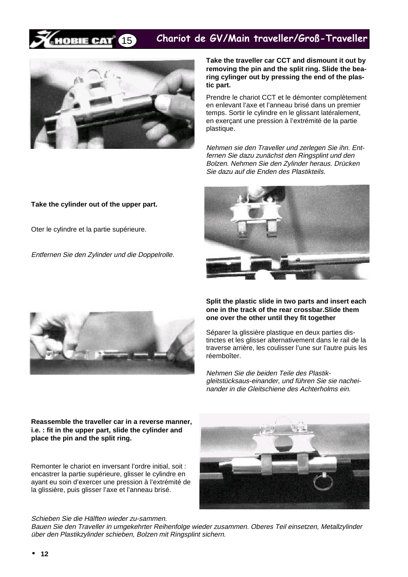#### Chariot de GV/Main traveller/Groß-Traveller DBIE CAT 15



**Take the traveller car CCT and dismount it out by removing the pin and the split ring. Slide the bearing cylinger out by pressing the end of the plastic part.**

Prendre le chariot CCT et le démonter complètement en enlevant l'axe et l'anneau brisé dans un premier temps. Sortir le cylindre en le glissant latéralement, en exerçant une pression à l'extrémité de la partie plastique.

Nehmen sie den Traveller und zerlegen Sie ihn. Entfernen Sie dazu zunächst den Ringsplint und den Bolzen. Nehmen Sie den Zylinder heraus. Drücken Sie dazu auf die Enden des Plastikteils.

## **Take the cylinder out of the upper part.**

Oter le cylindre et la partie supérieure.

Entfernen Sie den Zylinder und die Doppelrolle.





**Split the plastic slide in two parts and insert each one in the track of the rear crossbar.Slide them one over the other until they fit together**

Séparer la glissière plastique en deux parties distinctes et les glisser alternativement dans le rail de la traverse arrière, les coulisser l'une sur l'autre puis les réemboîter.

Nehmen Sie die beiden Teile des Plastikgleitstücksaus-einander, und führen Sie sie nacheinander in die Gleitschiene des Achterholms ein.

**Reassemble the traveller car in a reverse manner, i.e. : fit in the upper part, slide the cylinder and place the pin and the split ring.**

Remonter le chariot en inversant l'ordre initial, soit : encastrer la partie supérieure, glisser le cylindre en ayant eu soin d'exercer une pression à l'extrémité de la glissière, puis glisser l'axe et l'anneau brisé.



Schieben Sie die Hälften wieder zu-sammen.

Bauen Sie den Traveller in umgekehrter Reihenfolge wieder zusammen. Oberes Teil einsetzen, Metallzylinder über den Plastikzylinder schieben, Bolzen mit Ringsplint sichern.